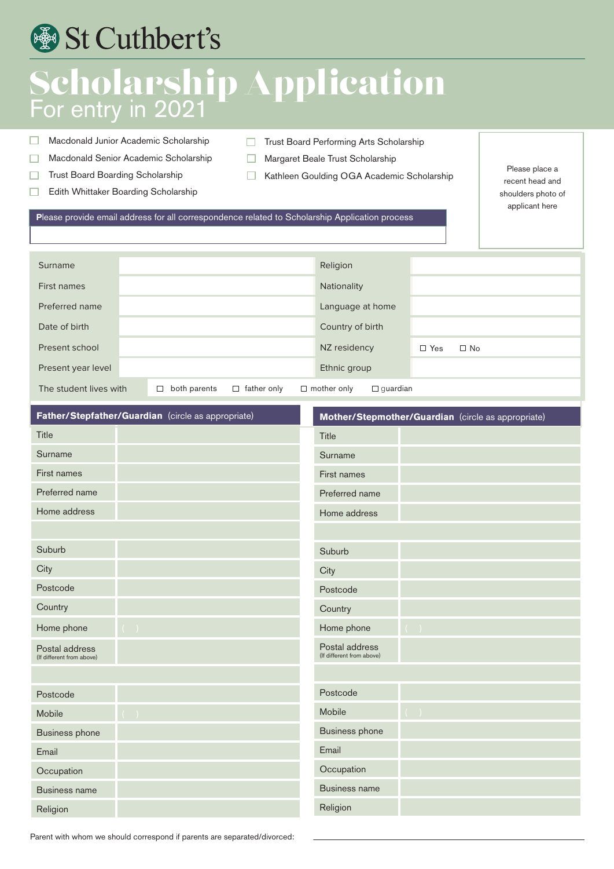## St Cuthbert's

### Scholarship Application For entry in 2021

- Macdonald Junior Academic Scholarship  $\Box$
- Macdonald Senior Academic Scholarship  $\Box$
- Trust Board Boarding Scholarship  $\Box$
- Edith Whittaker Boarding Scholarship  $\Box$
- $\Box$ Trust Board Performing Arts Scholarship
- $\Box$ Margaret Beale Trust Scholarship
- $\Box$ Kathleen Goulding OGA Academic Scholarship

Please place a recent head and shoulders photo of applicant here

**P**lease provide email address for all correspondence related to Scholarship Application process

| Surname                |                        | Religion                                             |                         |
|------------------------|------------------------|------------------------------------------------------|-------------------------|
| First names            |                        | Nationality                                          |                         |
| Preferred name         |                        | Language at home                                     |                         |
| Date of birth          |                        | Country of birth                                     |                         |
| Present school         |                        | NZ residency                                         | $\Box$ Yes<br>$\Box$ No |
| Present year level     |                        | Ethnic group                                         |                         |
| The student lives with | both parents<br>□<br>□ | $\Box$ mother only<br>father only<br>$\Box$ quardian |                         |

| Father/Stepfather/Guardian (circle as appropriate) | Mother/Stepmother/Guardian (circle as appropriate) |  |  |  |
|----------------------------------------------------|----------------------------------------------------|--|--|--|
| Title                                              | Title                                              |  |  |  |
| Surname                                            | Surname                                            |  |  |  |
| First names                                        | First names                                        |  |  |  |
| Preferred name                                     | Preferred name                                     |  |  |  |
| Home address                                       | Home address                                       |  |  |  |
|                                                    |                                                    |  |  |  |
| Suburb                                             | Suburb                                             |  |  |  |
| City                                               | City                                               |  |  |  |
| Postcode                                           | Postcode                                           |  |  |  |
| Country                                            | Country                                            |  |  |  |
| Home phone<br>$(\quad)$                            | Home phone<br>$(\Box)$                             |  |  |  |
| Postal address<br>(If different from above)        | Postal address<br>(If different from above)        |  |  |  |
|                                                    |                                                    |  |  |  |
| Postcode                                           | Postcode                                           |  |  |  |
| Mobile                                             | Mobile<br>$(\ )$                                   |  |  |  |
| <b>Business phone</b>                              | <b>Business phone</b>                              |  |  |  |
| Email                                              | Email                                              |  |  |  |
| Occupation                                         | Occupation                                         |  |  |  |
| <b>Business name</b>                               | <b>Business name</b>                               |  |  |  |
| Religion                                           | Religion                                           |  |  |  |

Parent with whom we should correspond if parents are separated/divorced: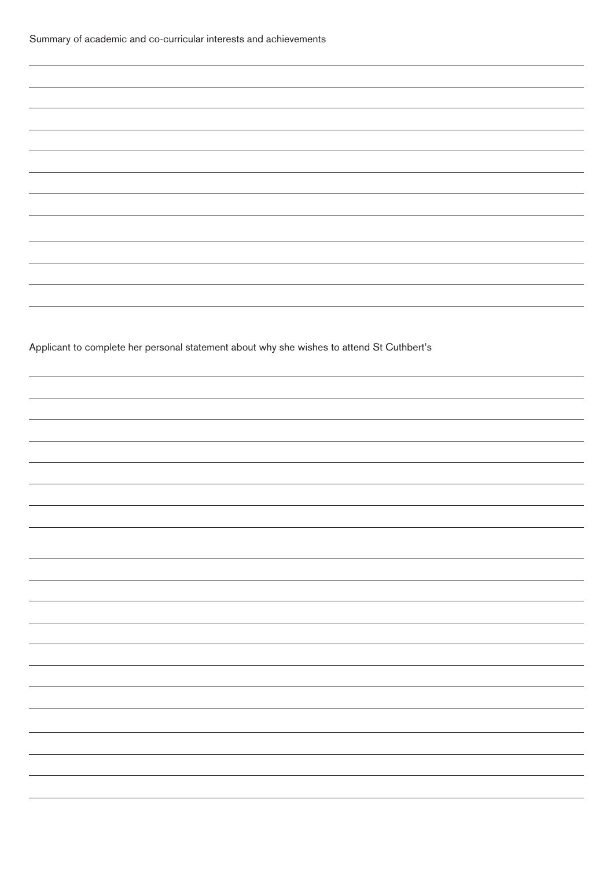Applicant to complete her personal statement about why she wishes to attend St Cuthbert's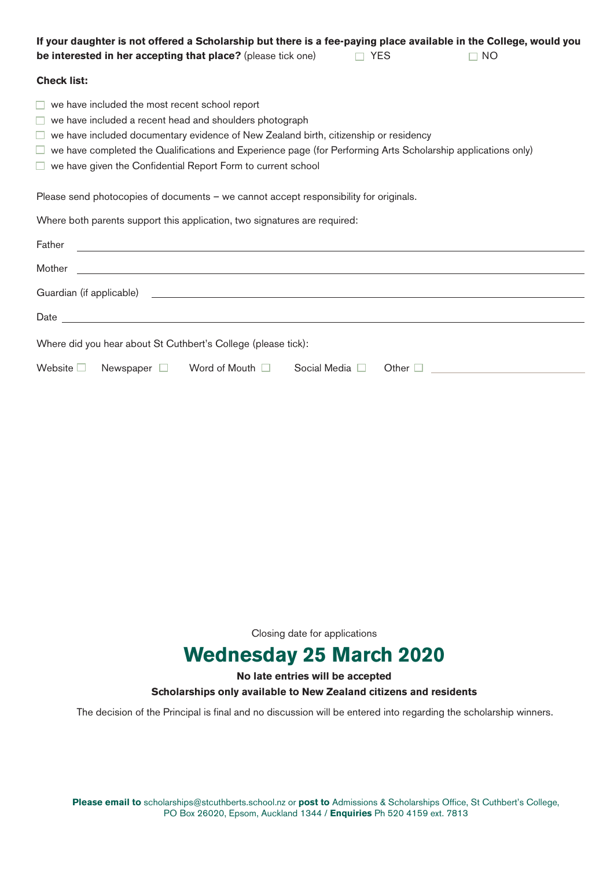| If your daughter is not offered a Scholarship but there is a fee-paying place available in the College, would you<br>be interested in her accepting that place? (please tick one)<br>$\Box$ YES<br>NO.                                                                                                                                                                            |  |  |  |  |
|-----------------------------------------------------------------------------------------------------------------------------------------------------------------------------------------------------------------------------------------------------------------------------------------------------------------------------------------------------------------------------------|--|--|--|--|
| <b>Check list:</b>                                                                                                                                                                                                                                                                                                                                                                |  |  |  |  |
| we have included the most recent school report<br>we have included a recent head and shoulders photograph<br>we have included documentary evidence of New Zealand birth, citizenship or residency<br>we have completed the Qualifications and Experience page (for Performing Arts Scholarship applications only)<br>we have given the Confidential Report Form to current school |  |  |  |  |
| Please send photocopies of documents - we cannot accept responsibility for originals.                                                                                                                                                                                                                                                                                             |  |  |  |  |
| Where both parents support this application, two signatures are required:                                                                                                                                                                                                                                                                                                         |  |  |  |  |
| Father<br><u> 1989 - Johann Stoff, amerikansk politiker (d. 1989)</u>                                                                                                                                                                                                                                                                                                             |  |  |  |  |
| <u> 1989 - Andrea Santa Andrea Santa Andrea Santa Andrea Santa Andrea Santa Andrea Santa Andrea Santa Andrea San</u><br>Mother                                                                                                                                                                                                                                                    |  |  |  |  |
| Guardian (if applicable) <u>experience</u> and the contract of the contract of the contract of the contract of the contract of the contract of the contract of the contract of the contract of the contract of the contract of the                                                                                                                                                |  |  |  |  |
|                                                                                                                                                                                                                                                                                                                                                                                   |  |  |  |  |
| Where did you hear about St Cuthbert's College (please tick):                                                                                                                                                                                                                                                                                                                     |  |  |  |  |
| Newspaper □ Word of Mouth □ Social Media □<br>Website $\Box$<br>Other $\Box$                                                                                                                                                                                                                                                                                                      |  |  |  |  |

Closing date for applications

### **Wednesday 25 March 2020**

#### **No late entries will be accepted Scholarships only available to New Zealand citizens and residents**

The decision of the Principal is final and no discussion will be entered into regarding the scholarship winners.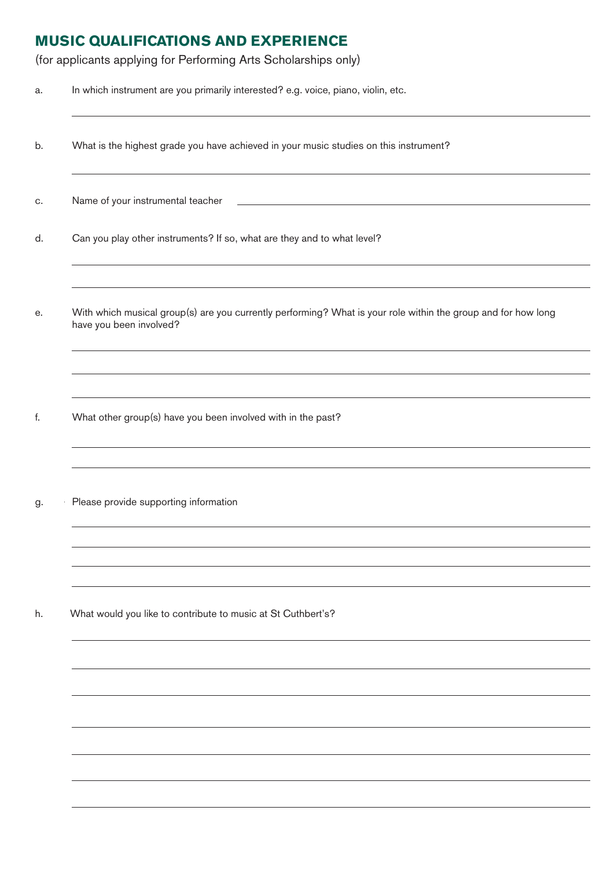#### **MUSIC QUALIFICATIONS AND EXPERIENCE**

(for applicants applying for Performing Arts Scholarships only)

- a. In which instrument are you primarily interested? e.g. voice, piano, violin, etc.
- b. What is the highest grade you have achieved in your music studies on this instrument?
- c. Name of your instrumental teacher
- d. Can you play other instruments? If so, what are they and to what level?
- e. With which musical group(s) are you currently performing? What is your role within the group and for how long have you been involved?
- f. What other group(s) have you been involved with in the past?
- g. Please provide supporting information

h. What would you like to contribute to music at St Cuthbert's?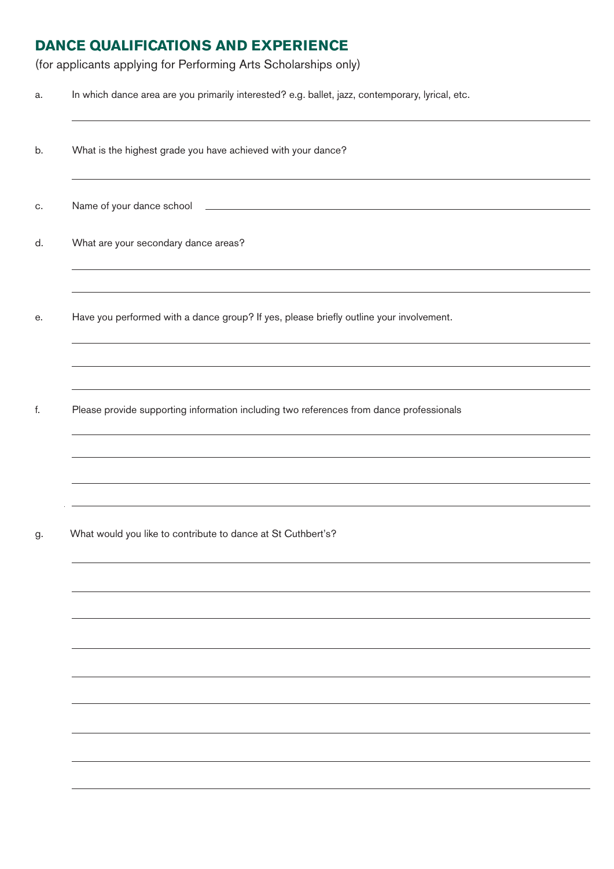#### **DANCE QUALIFICATIONS AND EXPERIENCE**

(for applicants applying for Performing Arts Scholarships only)

a. In which dance area are you primarily interested? e.g. ballet, jazz, contemporary, lyrical, etc.

b. What is the highest grade you have achieved with your dance?

c. Name of your dance school

d. What are your secondary dance areas?

e. Have you performed with a dance group? If yes, please briefly outline your involvement.

f. Please provide supporting information including two references from dance professionals

g. What would you like to contribute to dance at St Cuthbert's?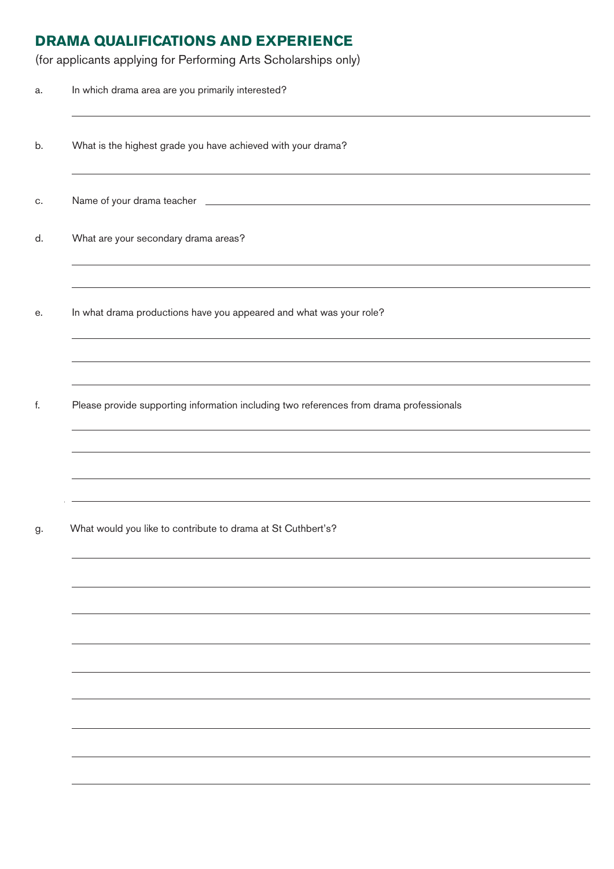#### **DRAMA QUALIFICATIONS AND EXPERIENCE**

(for applicants applying for Performing Arts Scholarships only)

| a. | In which drama area are you primarily interested?                                                                                                                                                           |
|----|-------------------------------------------------------------------------------------------------------------------------------------------------------------------------------------------------------------|
| b. | What is the highest grade you have achieved with your drama?                                                                                                                                                |
| C. |                                                                                                                                                                                                             |
| d. | What are your secondary drama areas?<br>,我们也不能在这里的时候,我们也不能会在这里,我们也不能会在这里,我们也不能会在这里,我们也不能会在这里的时候,我们也不能会在这里,我们也不能会不能会不能会。<br>第111章 我们的时候,我们的时候,我们的时候,我们的时候,我们的时候,我们的时候,我们的时候,我们的时候,我们的时候,我们的时候,我们的时候,我们的时候,我们 |
| е. | In what drama productions have you appeared and what was your role?                                                                                                                                         |
|    |                                                                                                                                                                                                             |
| f. | ,我们也不会有什么。""我们的人,我们也不会有什么?""我们的人,我们也不会有什么?""我们的人,我们也不会有什么?""我们的人,我们也不会有什么?""我们的人<br>Please provide supporting information including two references from drama professionals                                 |
|    |                                                                                                                                                                                                             |
|    | and the control of the control of the control of the control of the control of the control of the control of the                                                                                            |
| g. | What would you like to contribute to drama at St Cuthbert's?                                                                                                                                                |
|    |                                                                                                                                                                                                             |
|    |                                                                                                                                                                                                             |
|    |                                                                                                                                                                                                             |
|    |                                                                                                                                                                                                             |
|    |                                                                                                                                                                                                             |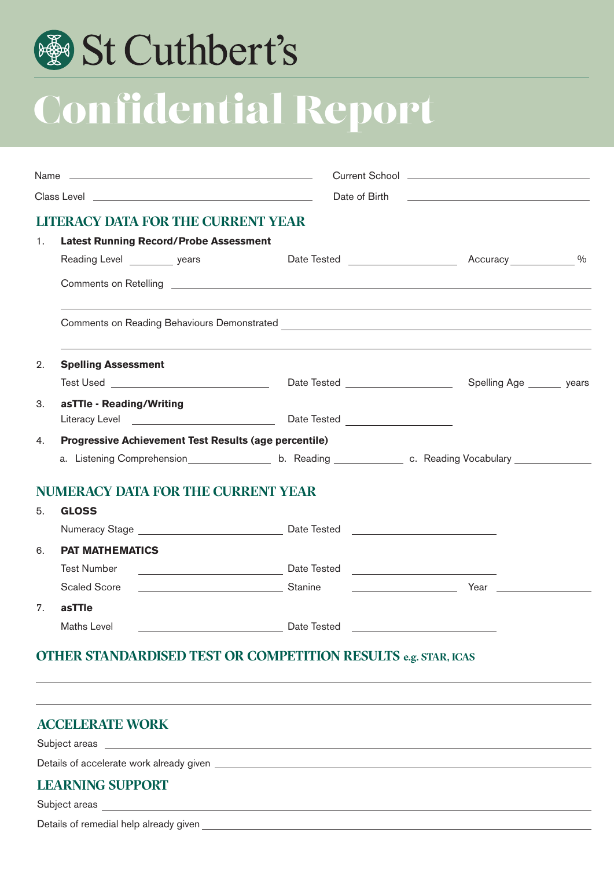## St Cuthbert's

# Confidential Report

|    | Class Level <b>Class Level Class Level</b>                                                                                                                                                                                          |                                              | Date of Birth <b>Date of Birth</b>                                                                                                                                                                                                   |  |  |  |
|----|-------------------------------------------------------------------------------------------------------------------------------------------------------------------------------------------------------------------------------------|----------------------------------------------|--------------------------------------------------------------------------------------------------------------------------------------------------------------------------------------------------------------------------------------|--|--|--|
|    | <b>LITERACY DATA FOR THE CURRENT YEAR</b>                                                                                                                                                                                           |                                              |                                                                                                                                                                                                                                      |  |  |  |
| 1. | <b>Latest Running Record/Probe Assessment</b>                                                                                                                                                                                       |                                              |                                                                                                                                                                                                                                      |  |  |  |
|    | Reading Level years                                                                                                                                                                                                                 |                                              |                                                                                                                                                                                                                                      |  |  |  |
|    |                                                                                                                                                                                                                                     |                                              |                                                                                                                                                                                                                                      |  |  |  |
|    |                                                                                                                                                                                                                                     |                                              |                                                                                                                                                                                                                                      |  |  |  |
| 2. | <b>Spelling Assessment</b>                                                                                                                                                                                                          |                                              |                                                                                                                                                                                                                                      |  |  |  |
|    |                                                                                                                                                                                                                                     |                                              |                                                                                                                                                                                                                                      |  |  |  |
| З. | asTTle - Reading/Writing                                                                                                                                                                                                            |                                              |                                                                                                                                                                                                                                      |  |  |  |
|    |                                                                                                                                                                                                                                     |                                              |                                                                                                                                                                                                                                      |  |  |  |
| 4. | <b>Progressive Achievement Test Results (age percentile)</b>                                                                                                                                                                        |                                              |                                                                                                                                                                                                                                      |  |  |  |
|    | a. Listening Comprehension <u>entitled</u> b. Reading entitled by c. Reading Vocabulary entitled by the set of the set of the set of the set of the set of the set of the set of the set of the set of the set of the set of the se |                                              |                                                                                                                                                                                                                                      |  |  |  |
|    | <b>NUMERACY DATA FOR THE CURRENT YEAR</b>                                                                                                                                                                                           |                                              |                                                                                                                                                                                                                                      |  |  |  |
| 5. | <b>GLOSS</b>                                                                                                                                                                                                                        |                                              |                                                                                                                                                                                                                                      |  |  |  |
|    |                                                                                                                                                                                                                                     |                                              |                                                                                                                                                                                                                                      |  |  |  |
| 6. | <b>PAT MATHEMATICS</b>                                                                                                                                                                                                              |                                              |                                                                                                                                                                                                                                      |  |  |  |
|    | <b>Test Number</b>                                                                                                                                                                                                                  |                                              |                                                                                                                                                                                                                                      |  |  |  |
|    | <b>Scaled Score</b>                                                                                                                                                                                                                 |                                              | <u>Net also and the set of the set of the set of the set of the set of the set of the set of the set of the set of the set of the set of the set of the set of the set of the set of the set of the set of the set of the set of</u> |  |  |  |
| 7. | asTTle                                                                                                                                                                                                                              |                                              |                                                                                                                                                                                                                                      |  |  |  |
|    | Maths Level                                                                                                                                                                                                                         | <u>Date Tested Discovery and Date Tested</u> |                                                                                                                                                                                                                                      |  |  |  |
|    | <u>the second the complete measure and so show the second second second second </u>                                                                                                                                                 |                                              |                                                                                                                                                                                                                                      |  |  |  |

#### **OTHER STANDARDISED TEST OR COMPETITION RESULTS e.g. STAR, ICAS**

| <b>ACCELERATE WORK</b>                                                                                                                                                                                                              |  |
|-------------------------------------------------------------------------------------------------------------------------------------------------------------------------------------------------------------------------------------|--|
|                                                                                                                                                                                                                                     |  |
| Details of accelerate work already given <b>Example 20</b> Section 2014 19:30 and 2014 19:30 and 2014 19:30 and 2014 19:30 and 2014 19:30 and 2014 19:30 and 2014 19:30 and 2014 19:30 and 2014 19:30 and 2014 19:30 and 2014 19:30 |  |
| <b>LEARNING SUPPORT</b>                                                                                                                                                                                                             |  |
|                                                                                                                                                                                                                                     |  |
|                                                                                                                                                                                                                                     |  |